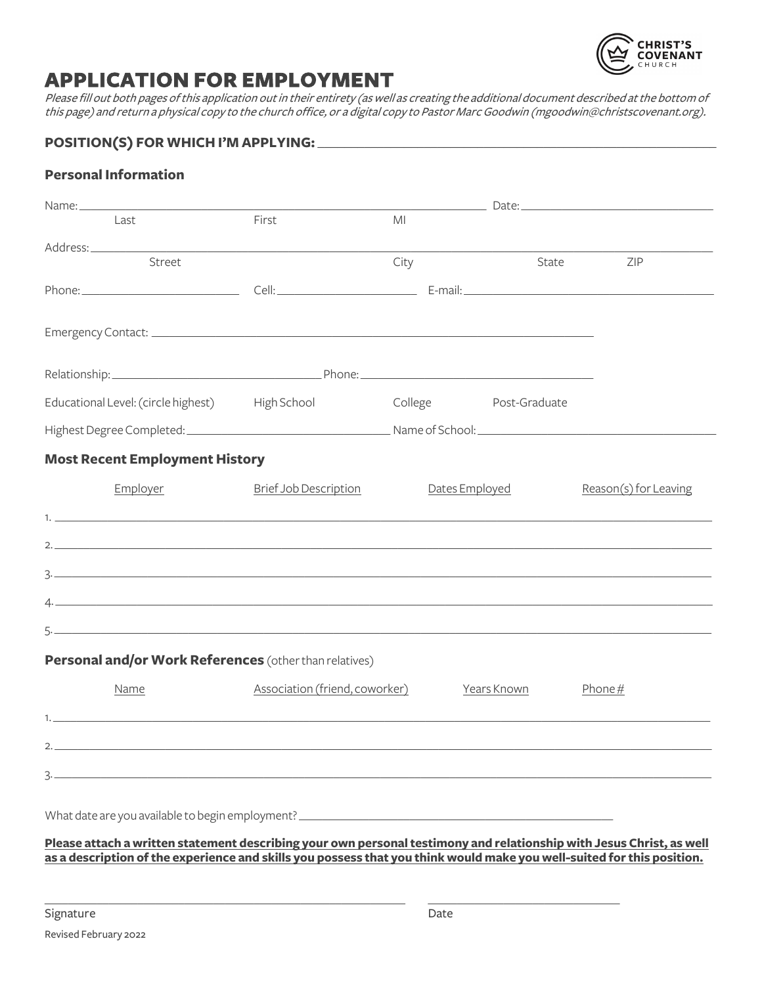

# **APPLICATION FOR EMPLOYMENT**

Please fill out both pages of this application out in their entirety (as well as creating the additional document described at the bottom of this page) and return a physical copy to the church office, or a digital copy to Pastor Marc Goodwin (mgoodwin@christscovenant.org).

### POSITION(S) FOR WHICH I'M APPLYING:

#### **Personal Information**

| Name:                                                  |                                |                       |             | <u>Date: Date: 2000 Partners and 2000 Partners and 2000 Partners and 2000 Partners and 2000 Partners and 2000 Par</u> |  |  |  |  |
|--------------------------------------------------------|--------------------------------|-----------------------|-------------|-----------------------------------------------------------------------------------------------------------------------|--|--|--|--|
| Last                                                   | First                          | MI                    |             |                                                                                                                       |  |  |  |  |
|                                                        |                                |                       |             |                                                                                                                       |  |  |  |  |
| Street                                                 |                                | City                  | State       | ZIP                                                                                                                   |  |  |  |  |
|                                                        |                                |                       |             |                                                                                                                       |  |  |  |  |
|                                                        |                                |                       |             |                                                                                                                       |  |  |  |  |
|                                                        |                                |                       |             |                                                                                                                       |  |  |  |  |
|                                                        |                                |                       |             |                                                                                                                       |  |  |  |  |
|                                                        |                                |                       |             |                                                                                                                       |  |  |  |  |
| Educational Level: (circle highest) High School        |                                | College Post-Graduate |             |                                                                                                                       |  |  |  |  |
|                                                        |                                |                       |             |                                                                                                                       |  |  |  |  |
| <b>Most Recent Employment History</b>                  |                                |                       |             |                                                                                                                       |  |  |  |  |
| Employer                                               | <b>Brief Job Description</b>   | Dates Employed        |             | Reason(s) for Leaving                                                                                                 |  |  |  |  |
|                                                        |                                |                       |             |                                                                                                                       |  |  |  |  |
| $\mathbf{1}$                                           |                                |                       |             |                                                                                                                       |  |  |  |  |
| $\overline{2}$ .                                       |                                |                       |             |                                                                                                                       |  |  |  |  |
|                                                        |                                |                       |             |                                                                                                                       |  |  |  |  |
| $\Lambda$ .                                            |                                |                       |             |                                                                                                                       |  |  |  |  |
|                                                        |                                |                       |             |                                                                                                                       |  |  |  |  |
|                                                        |                                |                       |             |                                                                                                                       |  |  |  |  |
| Personal and/or Work References (other than relatives) |                                |                       |             |                                                                                                                       |  |  |  |  |
| Name                                                   | Association (friend, coworker) |                       | Years Known | Phone $#$                                                                                                             |  |  |  |  |
| $\mathbf{1}$ .                                         |                                |                       |             |                                                                                                                       |  |  |  |  |
| 2.                                                     |                                |                       |             |                                                                                                                       |  |  |  |  |
|                                                        |                                |                       |             |                                                                                                                       |  |  |  |  |
|                                                        |                                |                       |             |                                                                                                                       |  |  |  |  |
|                                                        |                                |                       |             |                                                                                                                       |  |  |  |  |
|                                                        |                                |                       |             |                                                                                                                       |  |  |  |  |

#### **Please attach a written statement describing your own personal testimony and relationship with Jesus Christ, as well as a description of the experience and skills you possess that you think would make you well-suited for this position.**

\_\_\_\_\_\_\_\_\_\_\_\_\_\_\_\_\_\_\_\_\_\_\_\_\_\_\_\_\_\_\_\_\_\_\_\_\_\_\_\_\_\_\_\_\_\_\_\_\_\_\_\_\_\_\_\_\_\_\_\_\_\_ \_\_\_\_\_\_\_\_\_\_\_\_\_\_\_\_\_\_\_\_\_\_\_\_\_\_\_\_\_\_\_\_\_

Signature Date